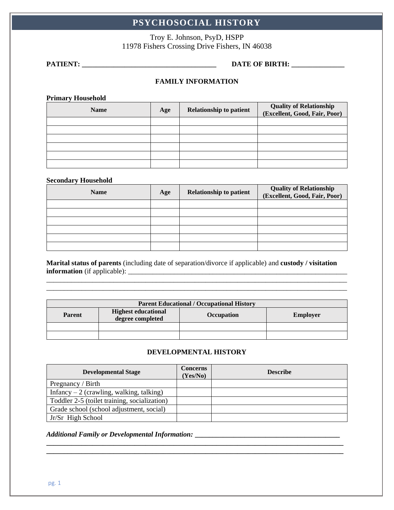# **PSYCHOSOCIAL HISTORY**

Troy E. Johnson, PsyD, HSPP 11978 Fishers Crossing Drive Fishers, IN 46038

### **PATIENT: \_\_\_\_\_\_\_\_\_\_\_\_\_\_\_\_\_\_\_\_\_\_\_\_\_\_\_\_\_\_\_\_\_\_\_\_\_\_ DATE OF BIRTH: \_\_\_\_\_\_\_\_\_\_\_\_\_\_\_**

# **FAMILY INFORMATION**

**Primary Household**

| <b>Name</b> | Age | <b>Relationship to patient</b> | <b>Quality of Relationship</b><br>(Excellent, Good, Fair, Poor) |
|-------------|-----|--------------------------------|-----------------------------------------------------------------|
|             |     |                                |                                                                 |
|             |     |                                |                                                                 |
|             |     |                                |                                                                 |
|             |     |                                |                                                                 |
|             |     |                                |                                                                 |
|             |     |                                |                                                                 |

#### **Secondary Household**

| <b>Name</b> | Age | <b>Relationship to patient</b> | <b>Quality of Relationship</b><br>(Excellent, Good, Fair, Poor) |
|-------------|-----|--------------------------------|-----------------------------------------------------------------|
|             |     |                                |                                                                 |
|             |     |                                |                                                                 |
|             |     |                                |                                                                 |
|             |     |                                |                                                                 |
|             |     |                                |                                                                 |
|             |     |                                |                                                                 |

**Marital status of parents** (including date of separation/divorce if applicable) and **custody / visitation information** (if applicable): \_\_\_\_\_\_\_\_\_\_\_\_\_\_\_\_\_\_\_\_\_\_\_\_\_\_\_\_\_\_\_\_\_\_\_\_\_\_\_\_\_\_\_\_\_\_\_\_\_\_\_\_\_\_\_\_\_\_\_\_\_\_

| <b>Parent Educational / Occupational History</b> |                                                |                   |                 |  |
|--------------------------------------------------|------------------------------------------------|-------------------|-----------------|--|
| <b>Parent</b>                                    | <b>Highest educational</b><br>degree completed | <b>Occupation</b> | <b>Employer</b> |  |
|                                                  |                                                |                   |                 |  |
|                                                  |                                                |                   |                 |  |

## **DEVELOPMENTAL HISTORY**

| <b>Developmental Stage</b>                   | <b>Concerns</b><br>(Yes/No) | <b>Describe</b> |
|----------------------------------------------|-----------------------------|-----------------|
| Pregnancy / Birth                            |                             |                 |
| Infancy $-2$ (crawling, walking, talking)    |                             |                 |
| Toddler 2-5 (toilet training, socialization) |                             |                 |
| Grade school (school adjustment, social)     |                             |                 |
| Jr/Sr High School                            |                             |                 |

**\_\_\_\_\_\_\_\_\_\_\_\_\_\_\_\_\_\_\_\_\_\_\_\_\_\_\_\_\_\_\_\_\_\_\_\_\_\_\_\_\_\_\_\_\_\_\_\_\_\_\_\_\_\_\_\_\_\_\_\_\_\_\_\_\_\_\_\_\_\_\_\_\_\_\_\_\_\_\_\_\_\_\_\_**

#### *Additional Family or Developmental Information:* **\_\_\_\_\_\_\_\_\_\_\_\_\_\_\_\_\_\_\_\_\_\_\_\_\_\_\_\_\_\_\_\_\_\_\_\_\_\_\_\_\_**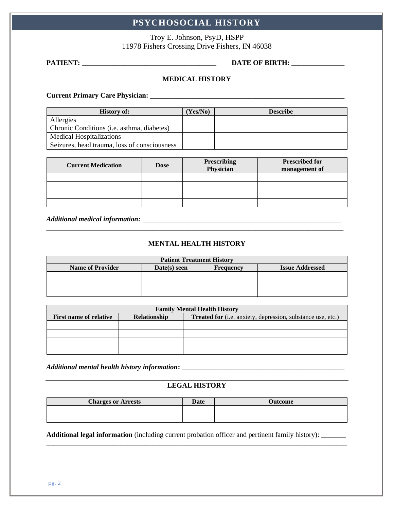# **PSYCHOSOCIAL HISTORY**

Troy E. Johnson, PsyD, HSPP 11978 Fishers Crossing Drive Fishers, IN 46038

# **PATIENT: \_\_\_\_\_\_\_\_\_\_\_\_\_\_\_\_\_\_\_\_\_\_\_\_\_\_\_\_\_\_\_\_\_\_\_\_\_\_ DATE OF BIRTH: \_\_\_\_\_\_\_\_\_\_\_\_\_\_\_**

# **MEDICAL HISTORY**

**Current Primary Care Physician: \_\_\_\_\_\_\_\_\_\_\_\_\_\_\_\_\_\_\_\_\_\_\_\_\_\_\_\_\_\_\_\_\_\_\_\_\_\_\_\_\_\_\_\_\_\_\_\_\_\_\_\_\_\_\_**

| <b>History of:</b>                                 | (Yes/No) | <b>Describe</b> |
|----------------------------------------------------|----------|-----------------|
| Allergies                                          |          |                 |
| Chronic Conditions ( <i>i.e.</i> asthma, diabetes) |          |                 |
| <b>Medical Hospitalizations</b>                    |          |                 |
| Seizures, head trauma, loss of consciousness       |          |                 |

| <b>Current Medication</b> | <b>Dose</b> | <b>Prescribing</b><br>Physician | <b>Prescribed for</b><br>management of |
|---------------------------|-------------|---------------------------------|----------------------------------------|
|                           |             |                                 |                                        |
|                           |             |                                 |                                        |
|                           |             |                                 |                                        |
|                           |             |                                 |                                        |

*Additional medical information:* **\_\_\_\_\_\_\_\_\_\_\_\_\_\_\_\_\_\_\_\_\_\_\_\_\_\_\_\_\_\_\_\_\_\_\_\_\_\_\_\_\_\_\_\_\_\_\_\_\_\_\_\_\_\_\_\_**

# **MENTAL HEALTH HISTORY**

**\_\_\_\_\_\_\_\_\_\_\_\_\_\_\_\_\_\_\_\_\_\_\_\_\_\_\_\_\_\_\_\_\_\_\_\_\_\_\_\_\_\_\_\_\_\_\_\_\_\_\_\_\_\_\_\_\_\_\_\_\_\_\_\_\_\_\_\_\_\_\_\_\_\_\_\_\_\_\_\_\_\_\_\_**

| <b>Patient Treatment History</b> |              |                  |                        |  |  |
|----------------------------------|--------------|------------------|------------------------|--|--|
| <b>Name of Provider</b>          | Date(s) seen | <b>Frequency</b> | <b>Issue Addressed</b> |  |  |
|                                  |              |                  |                        |  |  |
|                                  |              |                  |                        |  |  |
|                                  |              |                  |                        |  |  |

| <b>Family Mental Health History</b>           |  |                                                             |  |
|-----------------------------------------------|--|-------------------------------------------------------------|--|
| Relationship<br><b>First name of relative</b> |  | Treated for (i.e. anxiety, depression, substance use, etc.) |  |
|                                               |  |                                                             |  |
|                                               |  |                                                             |  |
|                                               |  |                                                             |  |
|                                               |  |                                                             |  |

*Additional mental health history information***: \_\_\_\_\_\_\_\_\_\_\_\_\_\_\_\_\_\_\_\_\_\_\_\_\_\_\_\_\_\_\_\_\_\_\_\_\_\_\_\_\_\_\_\_\_\_**

# **LEGAL HISTORY**

| <b>Charges or Arrests</b> | Date | <b>Jutcome</b> |
|---------------------------|------|----------------|
|                           |      |                |
|                           |      |                |

\_\_\_\_\_\_\_\_\_\_\_\_\_\_\_\_\_\_\_\_\_\_\_\_\_\_\_\_\_\_\_\_\_\_\_\_\_\_\_\_\_\_\_\_\_\_\_\_\_\_\_\_\_\_\_\_\_\_\_\_\_\_\_\_\_\_\_\_\_\_\_\_\_\_\_\_\_\_\_\_\_\_\_\_\_

**Additional legal information** (including current probation officer and pertinent family history): \_\_\_\_\_\_\_